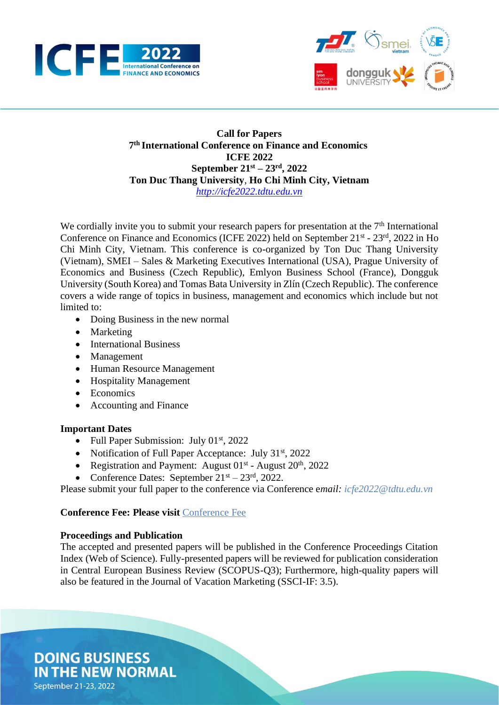



## **Call for Papers 7 th International Conference on Finance and Economics ICFE 2022 September 21st – 23rd , 2022 Ton Duc Thang University**, **Ho Chi Minh City, Vietnam** *[http://icfe2022.tdtu.edu.vn](https://icfe2022.tdtu.edu.vn/)*

We cordially invite you to submit your research papers for presentation at the  $7<sup>th</sup>$  International Conference on Finance and Economics (ICFE 2022) held on September 21<sup>st</sup> - 23<sup>rd</sup>, 2022 in Ho Chi Minh City, Vietnam. This conference is co-organized by Ton Duc Thang University (Vietnam), SMEI – Sales & Marketing Executives International (USA), Prague University of Economics and Business (Czech Republic), Emlyon Business School (France), Dongguk University (South Korea) and Tomas Bata University in Zlín (Czech Republic). The conference covers a wide range of topics in business, management and economics which include but not limited to:

- Doing Business in the new normal
- Marketing
- International Business
- Management
- Human Resource Management
- Hospitality Management
- Economics
- Accounting and Finance

### **Important Dates**

- Full Paper Submission: July  $01<sup>st</sup>$ , 2022
- Notification of Full Paper Acceptance: July 31<sup>st</sup>, 2022
- Registration and Payment: August  $01<sup>st</sup>$  August  $20<sup>th</sup>$ ,  $2022$
- Conference Dates: September  $21<sup>st</sup> 23<sup>rd</sup>$ , 2022.

Please submit your full paper to the conference via Conference e*mail: icfe2022@tdtu.edu.vn*

### **Conference Fee: Please visit** [Conference](https://icfe2022.tdtu.edu.vn/news/conference-fee) Fee

# **Proceedings and Publication**

The accepted and presented papers will be published in the Conference Proceedings Citation Index (Web of Science). Fully-presented papers will be reviewed for publication consideration in Central European Business Review (SCOPUS-Q3); Furthermore, high-quality papers will also be featured in the Journal of Vacation Marketing (SSCI-IF: 3.5).

**DOING BUSINESS IN THE NEW NORMAL** September 21-23, 2022